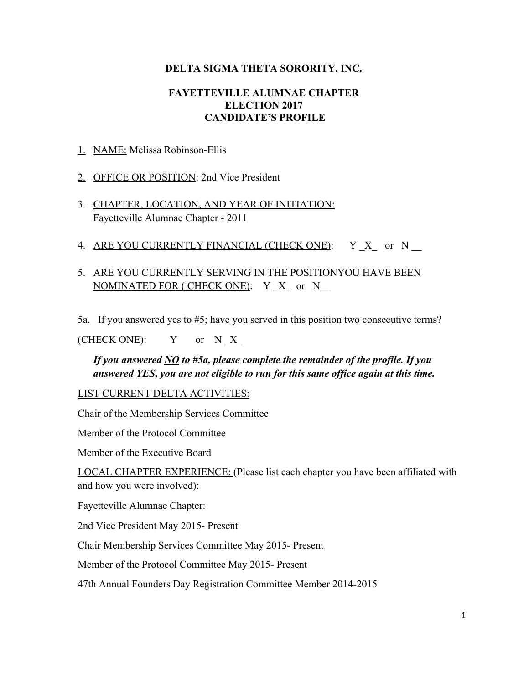## **DELTA SIGMA THETA SORORITY, INC.**

## **FAYETTEVILLE ALUMNAE CHAPTER ELECTION 2017 CANDIDATE'S PROFILE**

1. NAME: Melissa Robinson-Ellis

2. OFFICE OR POSITION: 2nd Vice President

- 3. CHAPTER, LOCATION, AND YEAR OF INITIATION: Fayetteville Alumnae Chapter - 2011
- 4. ARE YOU CURRENTLY FINANCIAL (CHECK ONE): Y X or N
- 5. ARE YOU CURRENTLY SERVING IN THE POSITIONYOU HAVE BEEN NOMINATED FOR ( CHECK ONE): Y X or N
- 5a. If you answered yes to #5; have you served in this position two consecutive terms?

(CHECK ONE):  $Y$  or N X

*If you answered NO to #5a, please complete the remainder of the profile. If you answered YES, you are not eligible to run for this same office again at this time.*

LIST CURRENT DELTA ACTIVITIES:

Chair of the Membership Services Committee

Member of the Protocol Committee

Member of the Executive Board

LOCAL CHAPTER EXPERIENCE: (Please list each chapter you have been affiliated with and how you were involved):

Fayetteville Alumnae Chapter:

2nd Vice President May 2015- Present

Chair Membership Services Committee May 2015- Present

Member of the Protocol Committee May 2015- Present

47th Annual Founders Day Registration Committee Member 2014-2015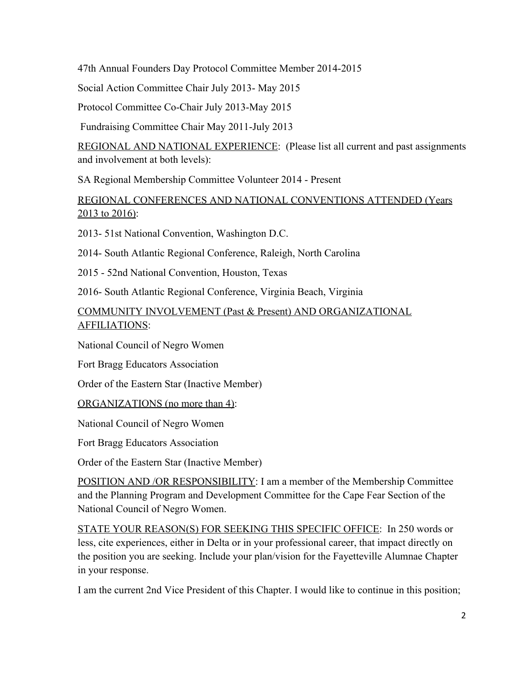47th Annual Founders Day Protocol Committee Member 2014-2015

Social Action Committee Chair July 2013- May 2015

Protocol Committee Co-Chair July 2013-May 2015

Fundraising Committee Chair May 2011-July 2013

REGIONAL AND NATIONAL EXPERIENCE: (Please list all current and past assignments and involvement at both levels):

SA Regional Membership Committee Volunteer 2014 - Present

## REGIONAL CONFERENCES AND NATIONAL CONVENTIONS ATTENDED (Years 2013 to 2016):

2013- 51st National Convention, Washington D.C.

2014- South Atlantic Regional Conference, Raleigh, North Carolina

2015 - 52nd National Convention, Houston, Texas

2016- South Atlantic Regional Conference, Virginia Beach, Virginia

COMMUNITY INVOLVEMENT (Past & Present) AND ORGANIZATIONAL AFFILIATIONS:

National Council of Negro Women

Fort Bragg Educators Association

Order of the Eastern Star (Inactive Member)

ORGANIZATIONS (no more than 4):

National Council of Negro Women

Fort Bragg Educators Association

Order of the Eastern Star (Inactive Member)

POSITION AND /OR RESPONSIBILITY: I am a member of the Membership Committee and the Planning Program and Development Committee for the Cape Fear Section of the National Council of Negro Women.

STATE YOUR REASON(S) FOR SEEKING THIS SPECIFIC OFFICE: In 250 words or less, cite experiences, either in Delta or in your professional career, that impact directly on the position you are seeking. Include your plan/vision for the Fayetteville Alumnae Chapter in your response.

I am the current 2nd Vice President of this Chapter. I would like to continue in this position;